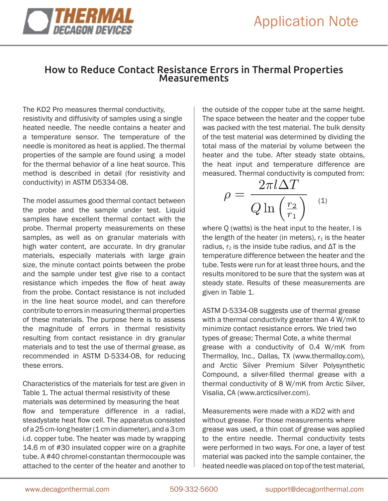

## How to Reduce Contact Resistance Errors in Thermal Properties Measurements

The KD2 Pro measures thermal conductivity, resistivity and diffusivity of samples using a single heated needle. The needle contains a heater and a temperature sensor. The temperature of the needle is monitored as heat is applied. The thermal properties of the sample are found using a model for the thermal behavior of a line heat source. This method is described in detail (for resistivity and conductivity) in ASTM D5334-08.

The model assumes good thermal contact between the probe and the sample under test. Liquid samples have excellent thermal contact with the probe. Thermal property measurements on these samples, as well as on granular materials with high water content, are accurate. In dry granular materials, especially materials with large grain size, the minute contact points between the probe and the sample under test give rise to a contact resistance which impedes the flow of heat away from the probe. Contact resistance is not included in the line heat source model, and can therefore contribute to errors in measuring thermal properties of these materials. The purpose here is to assess the magnitude of errors in thermal resistivity resulting from contact resistance in dry granular materials and to test the use of thermal grease, as recommended in ASTM D-5334-08, for reducing these errors.

Characteristics of the materials for test are given in Table 1. The actual thermal resistivity of these materials was determined by measuring the heat flow and temperature difference in a radial, steadystate heat flow cell. The apparatus consisted of a 25 cm-long heater (1 cm in diameter), and a 3 cm i.d. copper tube. The heater was made by wrapping 14.6 m of #30 insulated copper wire on a graphite tube. A #40 chromel-constantan thermocouple was attached to the center of the heater and another to the outside of the copper tube at the same height. The space between the heater and the copper tube was packed with the test material. The bulk density of the test material was determined by dividing the total mass of the material by volume between the heater and the tube. After steady state obtains, the heat input and temperature difference are measured. Thermal conductivity is computed from:

$$
\rho = \frac{2\pi l \Delta T}{Q \ln\left(\frac{r_2}{r_1}\right)}\quad \ {\rm (1)}
$$

where Q (watts) is the heat input to the heater, I is the length of the heater (in meters),  $r_1$  is the heater radius,  $r_2$  is the inside tube radius, and  $\Delta T$  is the temperature difference between the heater and the tube. Tests were run for at least three hours, and the results monitored to be sure that the system was at steady state. Results of these measurements are given in Table 1.

ASTM D-5334-08 suggests use of thermal grease with a thermal conductivity greater than 4 W/mK to minimize contact resistance errors. We tried two types of grease; Thermal Cote, a white thermal grease with a conductivity of 0.4 W/mK from Thermalloy, Inc., Dallas, TX (www.thermalloy.com), and Arctic Silver Premium Silver Polysynthetic Compound, a silver-filled thermal grease with a thermal conductivity of 8 W/mK from Arctic Silver, Visalia, CA (www.arcticsilver.com).

Measurements were made with a KD2 with and without grease. For those measurements where grease was used, a thin coat of grease was applied to the entire needle. Thermal conductivity tests were performed in two ways. For one, a layer of test material was packed into the sample container, the heated needle was placed on top of the test material,